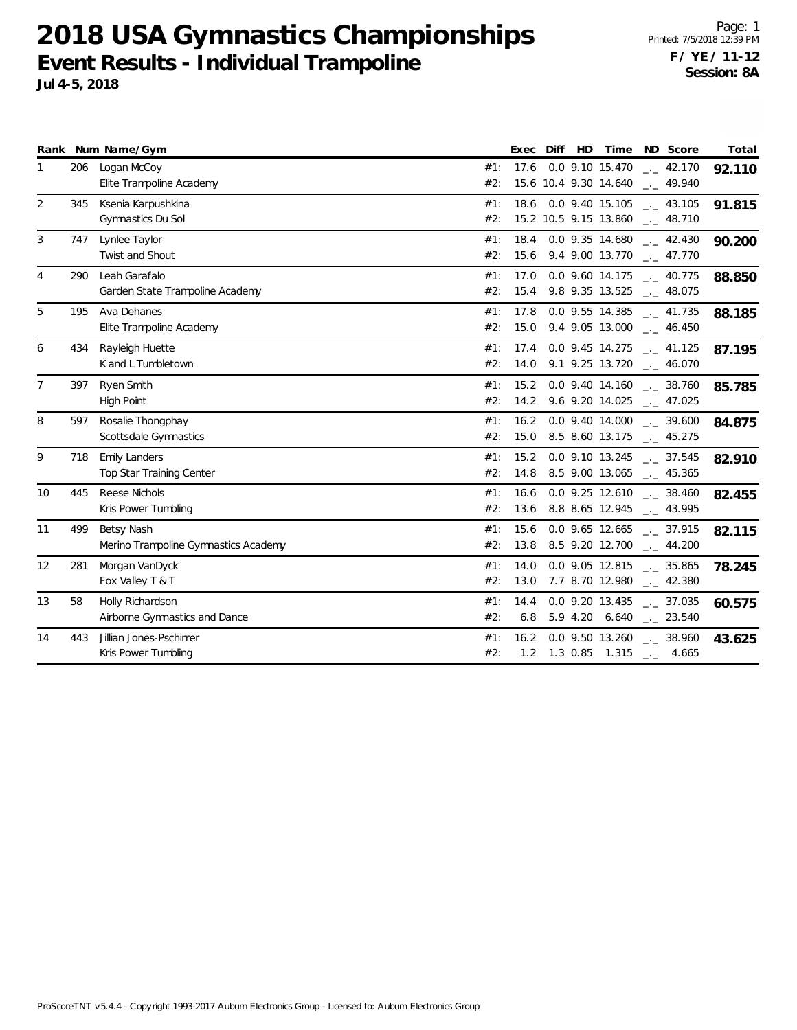**2018 USA Gymnastics Championships Event Results - Individual Trampoline Jul 4-5, 2018**

Page: 1 Printed: 7/5/2018 12:39 PM **F / YE / 11-12 Session: 8A**

|                |     | Rank Num Name/Gym                                  | HD<br>Diff<br>Exec                  | Time<br>Total<br>ND Score                                                                 |
|----------------|-----|----------------------------------------------------|-------------------------------------|-------------------------------------------------------------------------------------------|
| 1              | 206 | Logan McCoy<br>Elite Trampoline Academy            | 17.6<br>#1:<br>#2:                  | 0.0 9.10 15.470<br>.42.170<br>92.110<br>15.6 10.4 9.30 14.640 __ 49.940                   |
| $\overline{2}$ | 345 | Ksenia Karpushkina<br>Gymnastics Du Sol            | #1:<br>15.2 10.5 9.15 13.860<br>#2: | 18.6 0.0 9.40 15.105 $\qquad \qquad -2$ 43.105<br>91.815<br>$\frac{1}{2}$ 48.710          |
| 3              | 747 | Lynlee Taylor<br>Twist and Shout                   | 18.4<br>#1:<br>#2:                  | 0.0 9.35 14.680<br>$\frac{1}{2}$ 42.430<br>90.200<br>15.6 9.4 9.00 13.770 __ 47.770       |
| 4              | 290 | Leah Garafalo<br>Garden State Trampoline Academy   | 17.0<br>#1:<br>#2:                  | $0.0$ 9.60 14.175 $_{\leftarrow}$ 40.775<br>88.850<br>15.4 9.8 9.35 13.525 __ 48.075      |
| 5              | 195 | Ava Dehanes<br>Elite Trampoline Academy            | #1:<br>17.8<br>#2:                  | 0.0 9.55 14.385<br>$\frac{1}{2}$ 41.735<br>88.185<br>15.0 9.4 9.05 13.000 __ 46.450       |
| 6              | 434 | Rayleigh Huette<br>K and L Tumbletown              | 17.4<br>#1:<br>#2:                  | $0.0$ 9.45 14.275 $\qquad$ 41.125<br>87.195<br>14.0 9.1 9.25 13.720 __ 46.070             |
| $\overline{7}$ | 397 | Ryen Smith<br>High Point                           | 15.2<br>#1:<br>#2:                  | $0.0$ 9.40 14.160 $\ldots$ 38.760<br>85.785<br>14.2 9.6 9.20 14.025 __ 47.025             |
| 8              | 597 | Rosalie Thongphay<br>Scottsdale Gymnastics         | 16.2<br>#1:<br>#2:                  | $0.0$ 9.40 14.000 $\frac{1}{2}$ 39.600<br>84.875<br>15.0 8.5 8.60 13.175 __ 45.275        |
| 9              | 718 | <b>Emily Landers</b><br>Top Star Training Center   | 15.2<br>#1:<br>#2:                  | 0.0 9.10 13.245 . 37.545<br>82.910<br>14.8 8.5 9.00 13.065 __ 45.365                      |
| 10             | 445 | Reese Nichols<br>Kris Power Tumbling               | 16.6<br>#1:<br>#2:                  | $0.0$ 9.25 12.610 $\ldots$ 38.460<br>82.455<br>13.6 8.8 8.65 12.945 __ 43.995             |
| 11             | 499 | Betsy Nash<br>Merino Trampoline Gymnastics Academy | 15.6<br>#1:<br>#2:                  | $0.0$ 9.65 12.665 $\ldots$ 37.915<br>82.115<br>13.8 8.5 9.20 12.700 __ 44.200             |
| 12             | 281 | Morgan VanDyck<br>Fox Valley T & T                 | 14.0<br>#1:<br>#2:<br>13.0          | $0.0$ 9.05 12.815 $\ldots$ 35.865<br>78.245<br>7.7 8.70 12.980 __ 42.380                  |
| 13             | 58  | Holly Richardson<br>Airborne Gymnastics and Dance  | #1:<br>14.4<br>#2:                  | $0.0$ 9.20 13.435 $_{\sim}$ 37.035<br>60.575<br>6.8 5.9 4.20 6.640 $_{\leftarrow}$ 23.540 |
| 14             | 443 | Jillian Jones-Pschirrer<br>Kris Power Tumbling     | 16.2<br>#1:<br>#2:<br>1.2           | $0.0$ 9.50 13.260 $\ldots$ 38.960<br>43.625<br>1.3 0.85 1.315 $\qquad$ 4.665              |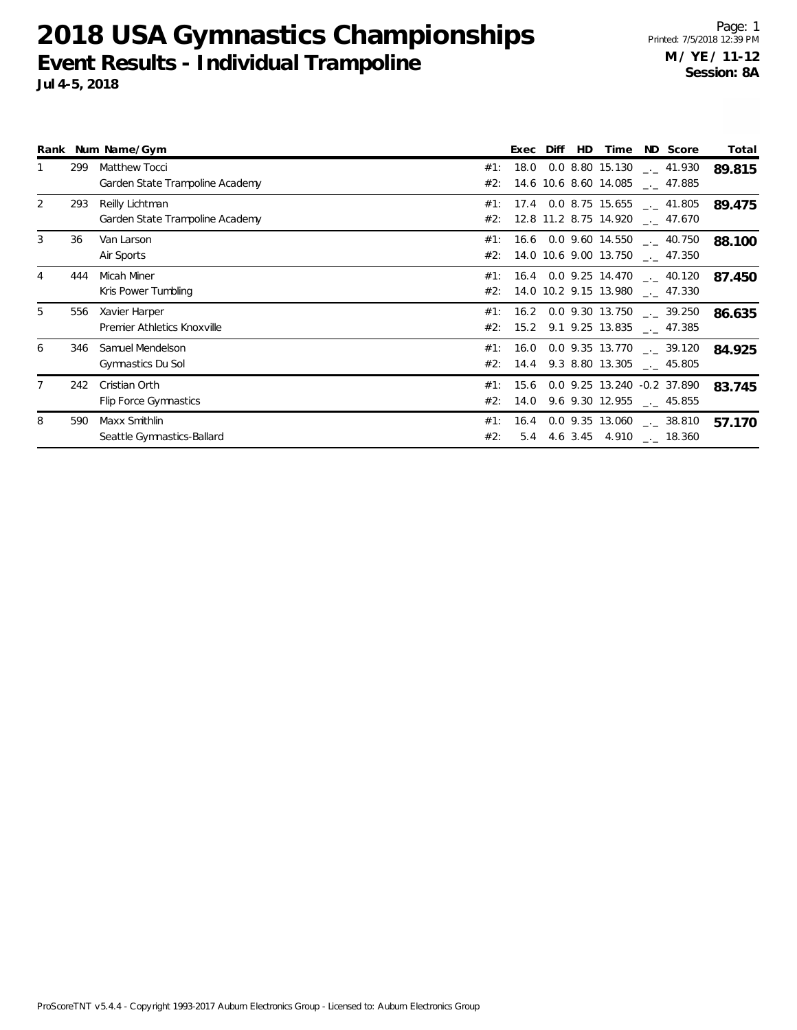## **2018 USA Gymnastics Championships Event Results - Individual Trampoline Jul 4-5, 2018**

Page: 1 Printed: 7/5/2018 12:39 PM **M / YE / 11-12 Session: 8A**

|                |     | Rank Num Name/Gym                                   |            |      | Exec Diff | HD. | Time | ND Score                                                                                | Total  |
|----------------|-----|-----------------------------------------------------|------------|------|-----------|-----|------|-----------------------------------------------------------------------------------------|--------|
|                | 299 | Matthew Tocci<br>Garden State Trampoline Academy    | #1:        |      |           |     |      | 18.0 0.0 8.80 15.130 $\text{\_}2$ 41.930<br>#2: 14.6 10.6 8.60 14.085 __ 47.885         | 89.815 |
| 2              | 293 | Reilly Lichtman<br>Garden State Trampoline Academy  |            |      |           |     |      | #1: 17.4 0.0 8.75 15.655 $\qquad$ 41.805<br>#2: 12.8 11.2 8.75 14.920 __ 47.670         | 89.475 |
| 3              | 36  | Van Larson<br>Air Sports                            |            |      |           |     |      | #1: 16.6 0.0 9.60 14.550 $\_\_$ 40.750<br>#2: 14.0 10.6 9.00 13.750 $\quad$ 47.350      | 88.100 |
|                | 444 | Micah Miner<br>Kris Power Tumbling                  |            |      |           |     |      | #1: 16.4 0.0 9.25 14.470 $\frac{1}{2}$ 40.120<br>$#2$ : 14.0 10.2 9.15 13.980 __ 47.330 | 87.450 |
| 5              | 556 | Xavier Harper<br><b>Premier Athletics Knoxville</b> |            |      |           |     |      | #1: 16.2 0.0 9.30 13.750 $\ldots$ 39.250<br>$#2$ : 15.2 9.1 9.25 13.835 ___ 47.385      | 86.635 |
| 6              | 346 | Samuel Mendelson<br>Gymnastics Du Sol               |            |      |           |     |      | $\#1$ : 16.0 0.0 9.35 13.770 __ 39.120<br>#2: 14.4 9.3 8.80 13.305 __ 45.805            | 84.925 |
| $\overline{7}$ | 242 | Cristian Orth<br>Flip Force Gymnastics              | #1:<br>#2: | 15.6 |           |     |      | 0.0 9.25 13.240 -0.2 37.890<br>$14.0$ 9.6 9.30 12.955 $\text{---}$ 45.855               | 83.745 |
| 8              | 590 | Maxx Smithlin<br>Seattle Gymnastics-Ballard         | #1:<br>#2: |      |           |     |      | 16.4 0.0 9.35 13.060 $\frac{1}{2}$ 38.810<br>5.4 4.6 3.45 4.910 $\qquad$ 18.360         | 57.170 |

ProScoreTNT v5.4.4 - Copyright 1993-2017 Auburn Electronics Group - Licensed to: Auburn Electronics Group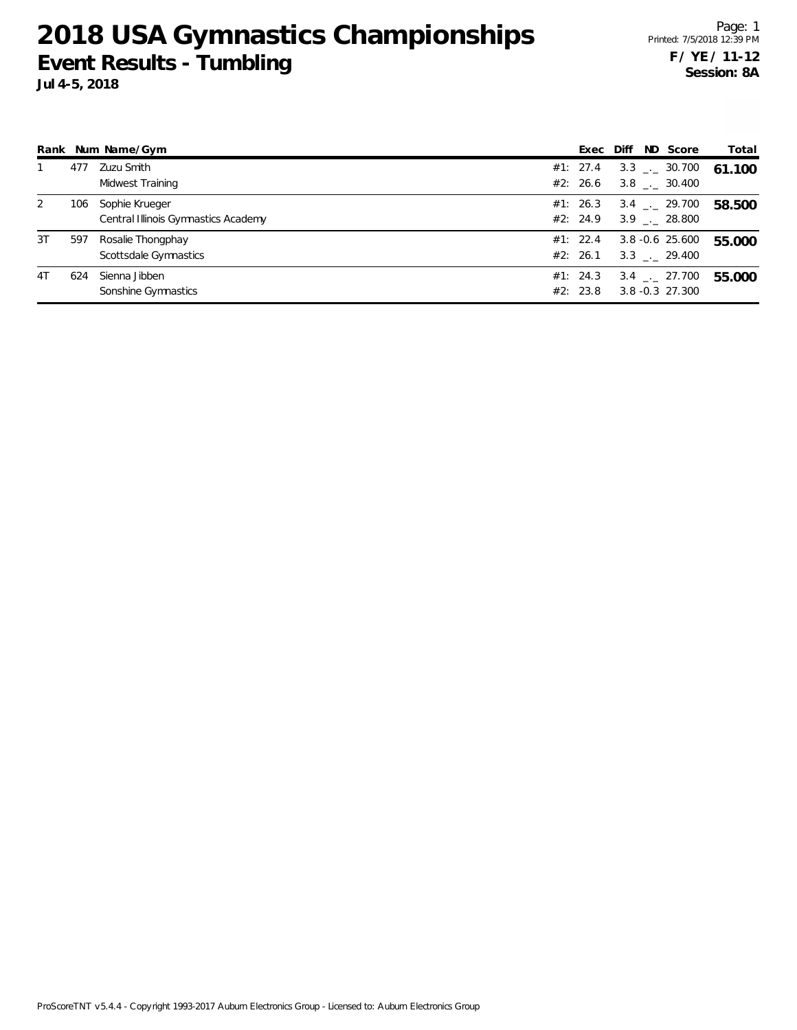**2018 USA Gymnastics Championships Event Results - Tumbling**

Page: 1 Printed: 7/5/2018 12:39 PM **F / YE / 11-12 Session: 8A**

|    |     | Rank Num Name/Gym                   | Exec | Diff     | ND Score | Total                        |        |
|----|-----|-------------------------------------|------|----------|----------|------------------------------|--------|
|    | 477 | Zuzu Smith                          |      | #1: 27.4 |          | $3.3$ $_{\leftarrow}$ 30.700 | 61.100 |
|    |     | Midwest Training                    |      | #2: 26.6 |          | $3.8$ $_{\sim}$ 30.400       |        |
| 2  | 106 | Sophie Krueger                      |      | #1: 26.3 |          | $3.4$ $-29.700$              | 58.500 |
|    |     | Central Illinois Gymnastics Academy |      | #2: 24.9 |          | $3.9$ $_{\leftarrow}$ 28.800 |        |
| 3T | 597 | Rosalie Thongphay                   |      | #1: 22.4 |          | $3.8 - 0.6$ 25.600           | 55.000 |
|    |     | Scottsdale Gymnastics               |      | #2: 26.1 |          | $3.3$ $-.29.400$             |        |
| 4T | 624 | Sienna Jibben                       |      | #1: 24.3 |          | $3.4$ $-27.700$              | 55.000 |
|    |     | Sonshine Gymnastics                 |      | #2: 23.8 |          | 3.8 -0.3 27.300              |        |

ProScoreTNT v5.4.4 - Copyright 1993-2017 Auburn Electronics Group - Licensed to: Auburn Electronics Group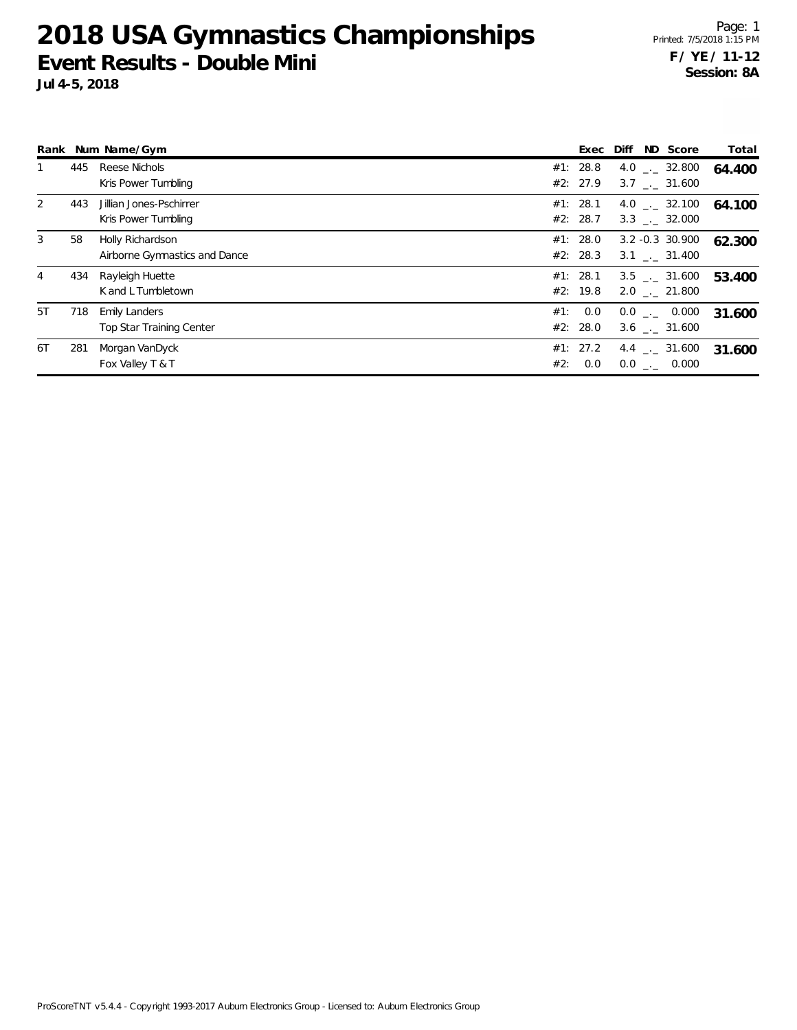**2018 USA Gymnastics Championships Event Results - Double Mini**

**Jul 4-5, 2018**

|    |     | Rank Num Name/Gym                                 |     |                      | Exec Diff ND Score |                                            | Total  |
|----|-----|---------------------------------------------------|-----|----------------------|--------------------|--------------------------------------------|--------|
|    | 445 | Reese Nichols<br>Kris Power Tumbling              |     | #1: 28.8<br>#2: 27.9 |                    | 4.0 $\ldots$ 32.800<br>3.7 . 31.600        | 64.400 |
|    | 443 | Jillian Jones-Pschirrer<br>Kris Power Tumbling    |     | #1: 28.1<br>#2: 28.7 |                    | $4.0$ $_{\sim}$ 32.100<br>3.3 . 32.000     | 64.100 |
| 3  | 58  | Holly Richardson<br>Airborne Gymnastics and Dance |     | #1: 28.0<br>#2: 28.3 |                    | $3.2 - 0.3$ 30.900<br>$3.1$ $_{-1}$ 31.400 | 62.300 |
|    | 434 | Rayleigh Huette<br>K and L Tumbletown             |     | #1: 28.1<br>#2: 19.8 |                    | 3.5 . 31.600<br>2.0 . 21.800               | 53.400 |
| 5T | 718 | <b>Emily Landers</b><br>Top Star Training Center  | #1: | 0.0<br>#2: 28.0      |                    | $0.0$ _._ 0.000<br>$3.6$ $_{--}$ 31.600    | 31.600 |
| 6T | 281 | Morgan VanDyck<br>Fox Valley T & T                | #2: | #1: 27.2<br>0.0      |                    | $4.4$ $_{-1}$ 31.600<br>$0.0$ . $0.000$    | 31.600 |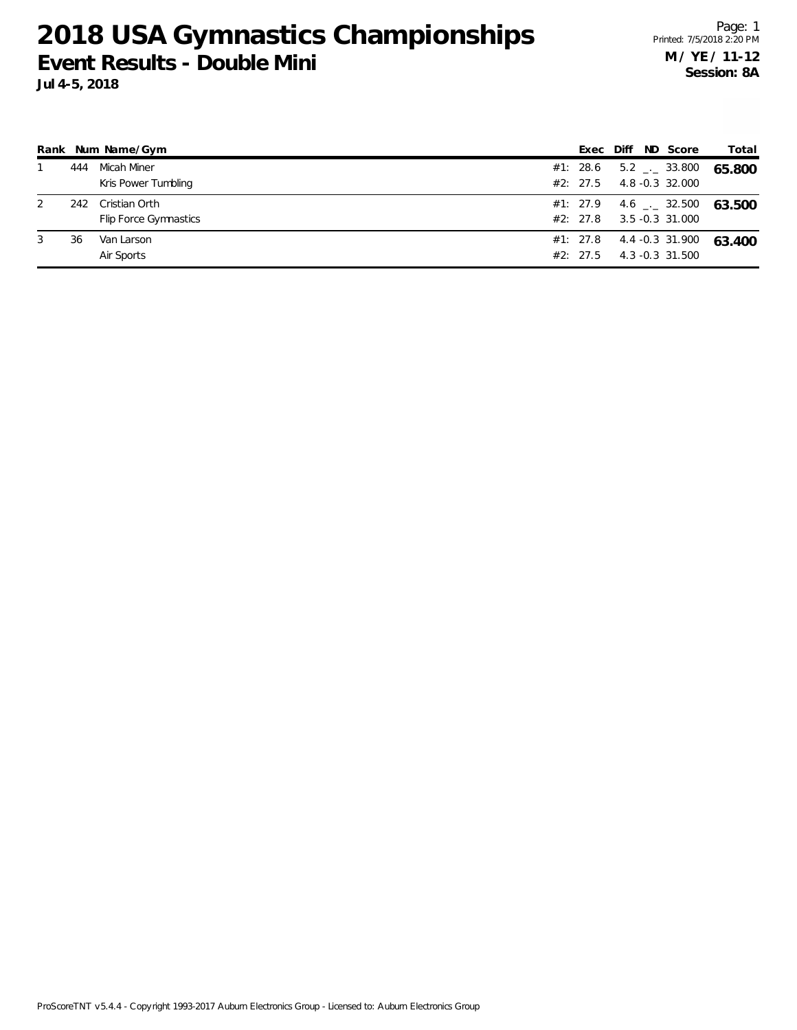## **2018 USA Gymnastics Championships Event Results - Double Mini**

**Jul 4-5, 2018**

|   |     | Rank Num Name/Gym                      | Exec                 | Diff | ND Score                                        | Total  |
|---|-----|----------------------------------------|----------------------|------|-------------------------------------------------|--------|
|   | 444 | Micah Miner<br>Kris Power Tumbling     | #1: 28.6<br>#2: 27.5 |      | $5.2$ $_{\leftarrow}$ 33.800<br>4.8 -0.3 32.000 | 65.800 |
| 2 | 242 | Cristian Orth<br>Flip Force Gymnastics | #1: 27.9<br>#2: 27.8 |      | 4.6 $\_\cdot$ 32.500<br>3.5 -0.3 31.000         | 63.500 |
| 3 | 36  | Van Larson<br>Air Sports               | #2: 27.5             |      | $#1: 27.8$ 4.4 -0.3 31.900<br>4.3 -0.3 31.500   | 63.400 |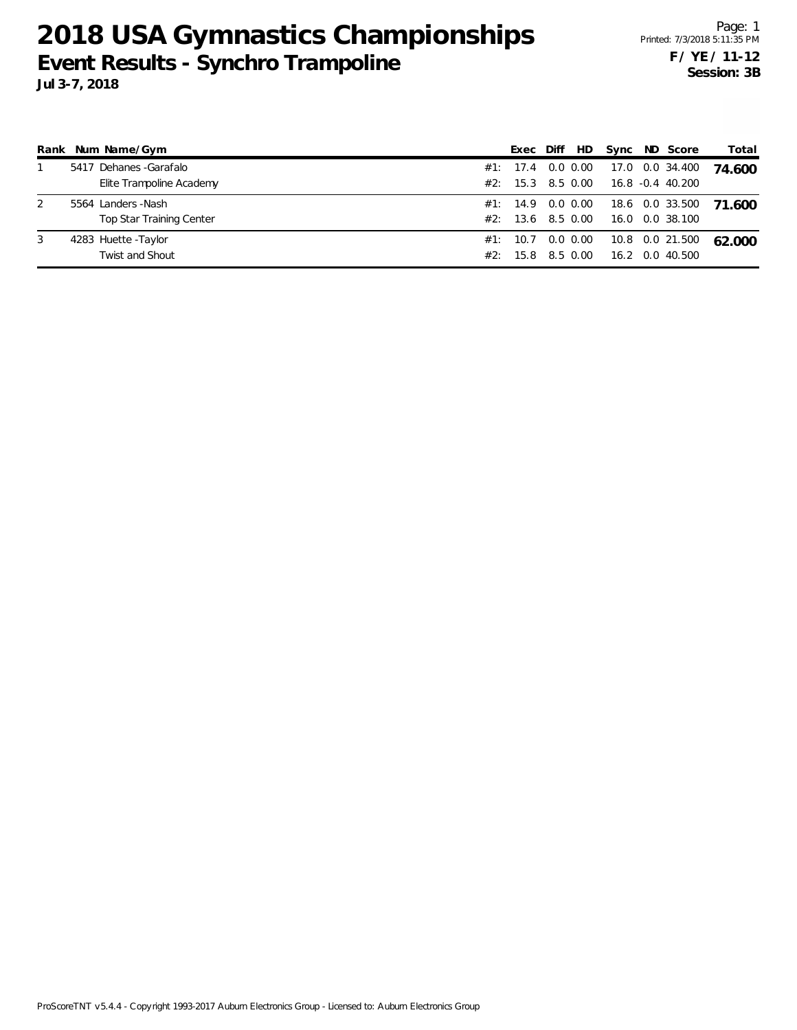## **2018 USA Gymnastics Championships Event Results - Synchro Trampoline Jul 3-7, 2018**

| Rank | Num Name/Gym                            |                                 |  |                                        | Exec Diff | HD.                           |  | Sync ND Score                       | Total  |
|------|-----------------------------------------|---------------------------------|--|----------------------------------------|-----------|-------------------------------|--|-------------------------------------|--------|
|      | Dehanes - Garafalo<br>5417              | Elite Trampoline Academy        |  | #1: 17.4 0.0 0.00<br>#2: 15.3 8.5 0.00 |           |                               |  | 17.0 0.0 34.400<br>16.8 -0.4 40.200 | 74.600 |
| 2    | 5564 Landers - Nash                     | <b>Top Star Training Center</b> |  | #2: 13.6                               |           | #1: 14.9 0.0 0.00<br>8.5 0.00 |  | 18.6 0.0 33.500<br>16.0 0.0 38.100  | 71.600 |
| 3    | 4283 Huette - Taylor<br>Twist and Shout |                                 |  | #1: 10.7 0.0 0.00<br>#2:               | 15.8      | 8.5 0.00                      |  | 10.8 0.0 21.500<br>16.2 0.0 40.500  | 62.000 |

ProScoreTNT v5.4.4 - Copyright 1993-2017 Auburn Electronics Group - Licensed to: Auburn Electronics Group